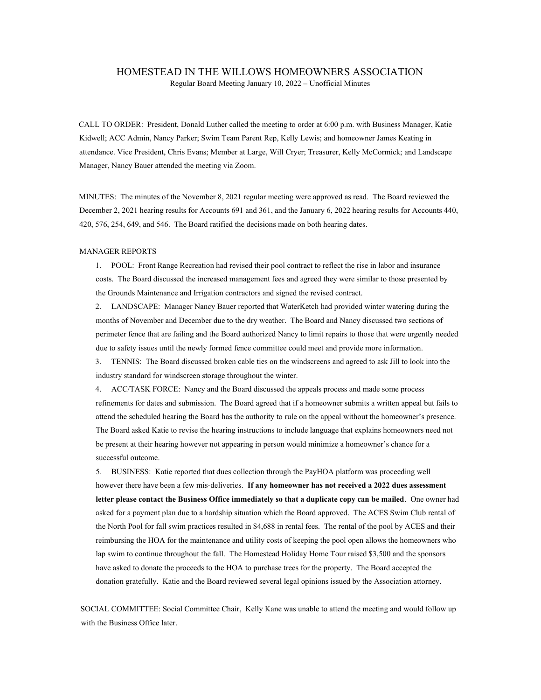## HOMESTEAD IN THE WILLOWS HOMEOWNERS ASSOCIATION

Regular Board Meeting January 10, 2022 – Unofficial Minutes

CALL TO ORDER: President, Donald Luther called the meeting to order at 6:00 p.m. with Business Manager, Katie Kidwell; ACC Admin, Nancy Parker; Swim Team Parent Rep, Kelly Lewis; and homeowner James Keating in attendance. Vice President, Chris Evans; Member at Large, Will Cryer; Treasurer, Kelly McCormick; and Landscape Manager, Nancy Bauer attended the meeting via Zoom.

MINUTES: The minutes of the November 8, 2021 regular meeting were approved as read. The Board reviewed the December 2, 2021 hearing results for Accounts 691 and 361, and the January 6, 2022 hearing results for Accounts 440, 420, 576, 254, 649, and 546. The Board ratified the decisions made on both hearing dates.

## MANAGER REPORTS

1. POOL: Front Range Recreation had revised their pool contract to reflect the rise in labor and insurance costs. The Board discussed the increased management fees and agreed they were similar to those presented by the Grounds Maintenance and Irrigation contractors and signed the revised contract.

2. LANDSCAPE: Manager Nancy Bauer reported that WaterKetch had provided winter watering during the months of November and December due to the dry weather. The Board and Nancy discussed two sections of perimeter fence that are failing and the Board authorized Nancy to limit repairs to those that were urgently needed due to safety issues until the newly formed fence committee could meet and provide more information.

3. TENNIS: The Board discussed broken cable ties on the windscreens and agreed to ask Jill to look into the industry standard for windscreen storage throughout the winter.

4. ACC/TASK FORCE: Nancy and the Board discussed the appeals process and made some process refinements for dates and submission. The Board agreed that if a homeowner submits a written appeal but fails to attend the scheduled hearing the Board has the authority to rule on the appeal without the homeowner's presence. The Board asked Katie to revise the hearing instructions to include language that explains homeowners need not be present at their hearing however not appearing in person would minimize a homeowner's chance for a successful outcome.

5. BUSINESS: Katie reported that dues collection through the PayHOA platform was proceeding well however there have been a few mis-deliveries. If any homeowner has not received a 2022 dues assessment letter please contact the Business Office immediately so that a duplicate copy can be mailed. One owner had asked for a payment plan due to a hardship situation which the Board approved. The ACES Swim Club rental of the North Pool for fall swim practices resulted in \$4,688 in rental fees. The rental of the pool by ACES and their reimbursing the HOA for the maintenance and utility costs of keeping the pool open allows the homeowners who lap swim to continue throughout the fall. The Homestead Holiday Home Tour raised \$3,500 and the sponsors have asked to donate the proceeds to the HOA to purchase trees for the property. The Board accepted the donation gratefully. Katie and the Board reviewed several legal opinions issued by the Association attorney.

SOCIAL COMMITTEE: Social Committee Chair, Kelly Kane was unable to attend the meeting and would follow up with the Business Office later.